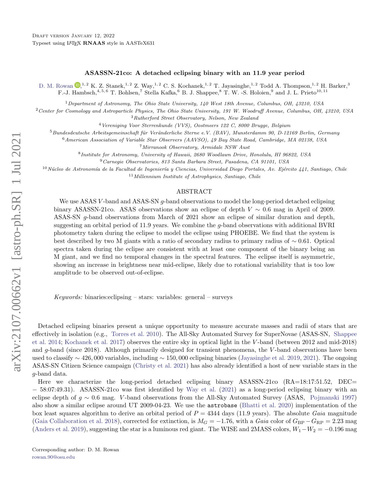## ASASSN-21co: A detached eclipsing binary with an 11.9 year period

[D. M. Rowan](http://orcid.org/0000-0003-2431-981X)  $\mathbb{D}^{1,2}$  K. Z. Stanek,<sup>1, 2</sup> Z. Way,<sup>1, 2</sup> C. S. Kochanek,<sup>1, 2</sup> T. Jayasinghe,<sup>1, 2</sup> Todd A. Thompson,<sup>1, 2</sup> H. Barker,<sup>3</sup> F.-J. Hambsch,<sup>4, 5, 6</sup> T. Bohlsen,<sup>7</sup> Stella Kafka,<sup>6</sup> B. J. Shappee,<sup>8</sup> T. W. -S. Holoien,<sup>9</sup> and J. L. Prieto<sup>10, 11</sup>

<sup>1</sup>Department of Astronomy, The Ohio State University, 140 West 18th Avenue, Columbus, OH, 43210, USA

 $2$  Center for Cosmology and Astroparticle Physics, The Ohio State University, 191 W. Woodruff Avenue, Columbus, OH, 43210, USA

<sup>3</sup>Rutherford Street Observatory, Nelson, New Zealand

<sup>4</sup> Vereniging Voor Sterrenkunde (VVS), Oostmeers 122 C, 8000 Brugge, Belgium

 $5$ Bundesdeutsche Arbeitsgemeinschaft für Veränderliche Sterne e.V. (BAV), Munsterdamm 90, D-12169 Berlin, Germany

<sup>6</sup>American Association of Variable Star Observers (AAVSO), 49 Bay State Road, Cambridge, MA 02138, USA

<sup>7</sup>Mirranook Observatory, Armidale NSW Aust

8 Institute for Astronomy, University of Hawaii, 2680 Woodlawn Drive, Honolulu, HI 96822, USA

<sup>9</sup>Carnegie Observatories, 813 Santa Barbara Street, Pasadena, CA 91101, USA

 $10$ Núcleo de Astronomía de la Facultad de Ingeniería y Ciencias, Universidad Diego Portales, Av. Ejército 441, Santiago, Chile  $11$ Millennium Institute of Astrophysics, Santiago, Chile

## ABSTRACT

We use ASAS V-band and ASAS-SN q-band observations to model the long-period detached eclipsing binary ASASSN-21co. ASAS observations show an eclipse of depth  $V \sim 0.6$  mag in April of 2009. ASAS-SN g-band observations from March of 2021 show an eclipse of similar duration and depth, suggesting an orbital period of 11.9 years. We combine the g-band observations with additional BVRI photometry taken during the eclipse to model the eclipse using PHOEBE. We find that the system is best described by two M giants with a ratio of secondary radius to primary radius of ∼ 0.61. Optical spectra taken during the eclipse are consistent with at least one component of the binary being an M giant, and we find no temporal changes in the spectral features. The eclipse itself is asymmetric, showing an increase in brightness near mid-eclipse, likely due to rotational variability that is too low amplitude to be observed out-of-eclipse.

Keywords: binaries: eclipsing – stars: variables: general – surveys

Detached eclipsing binaries present a unique opportunity to measure accurate masses and radii of stars that are effectively in isolation (e.g., [Torres et al.](#page-3-0) [2010\)](#page-3-0). The All-Sky Automated Survey for SuperNovae (ASAS-SN, [Shappee](#page-3-1) [et al.](#page-3-1) [2014;](#page-3-1) [Kochanek et al.](#page-3-2) [2017\)](#page-3-2) observes the entire sky in optical light in the V -band (between 2012 and mid-2018) and g-band (since 2018). Although primarily designed for transient phenomena, the V -band observations have been used to classify  $\sim$  426,000 variables, including  $\sim$  150,000 eclipsing binaries [\(Jayasinghe et al.](#page-3-3) [2019,](#page-3-3) [2021\)](#page-3-4). The ongoing ASAS-SN Citizen Science campaign [\(Christy et al.](#page-3-5) [2021\)](#page-3-5) has also already identified a host of new variable stars in the g-band data.

Here we characterize the long-period detached eclipsing binary ASASSN-21co (RA=18:17:51.52, DEC= − 58:07:49.31). ASASSN-21co was first identified by [Way et al.](#page-3-6) [\(2021\)](#page-3-6) as a long-period eclipsing binary with an eclipse depth of  $g \sim 0.6$  mag. V-band observations from the All-Sky Automated Survey (ASAS, [Pojmanski](#page-3-7) [1997\)](#page-3-7) also show a similar eclipse around UT 2009-04-23. We use the astrobase [\(Bhatti et al.](#page-3-8) [2020\)](#page-3-8) implementation of the box least squares algorithm to derive an orbital period of  $P = 4344$  days (11.9 years). The absolute Gaia magnitude [\(Gaia Collaboration et al.](#page-3-9) [2018\)](#page-3-9), corrected for extinction, is  $M_G = -1.76$ , with a Gaia color of  $G_{BP} - G_{RP} = 2.23$  mag [\(Anders et al.](#page-3-10) [2019\)](#page-3-10), suggesting the star is a luminous red giant. The WISE and 2MASS colors,  $W_1-W_2 = -0.196$  mag

<span id="page-0-1"></span><span id="page-0-0"></span>Corresponding author: D. M. Rowan [rowan.90@osu.edu](mailto: rowan.90@osu.edu)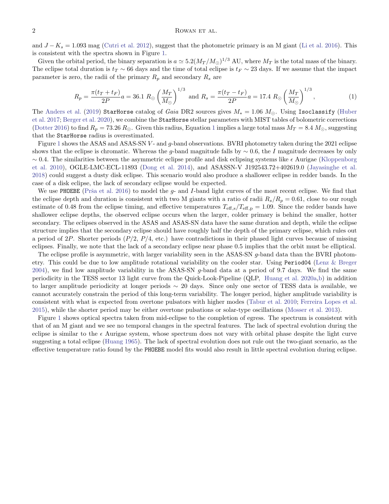and  $J - K_s = 1.093$  mag [\(Cutri et al.](#page-3-11) [2012\)](#page-3-11), suggest that the photometric primary is an M giant [\(Li et al.](#page-3-12) [2016\)](#page-3-12). This is consistent with the spectra shown in Figure [1.](#page-2-0)

<span id="page-1-0"></span>Given the orbital period, the binary separation is  $a \simeq 5.2(M_T/M_\odot)^{1/3}$  AU, where  $M_T$  is the total mass of the binary. The eclipse total duration is  $t_T \sim 66$  days and the time of total eclipse is  $t_F \sim 23$  days. If we assume that the impact parameter is zero, the radii of the primary  $R_p$  and secondary  $R_s$  are

$$
R_p = \frac{\pi (t_T + t_F)}{2P} a = 36.1 \ R_{\odot} \left(\frac{M_T}{M_{\odot}}\right)^{1/3} \text{ and } R_s = \frac{\pi (t_T - t_F)}{2P} a = 17.4 \ R_{\odot} \left(\frac{M_T}{M_{\odot}}\right)^{1/3},\tag{1}
$$

The [Anders et al.](#page-3-10) [\(2019\)](#page-3-10) StarHorse catalog of Gaia DR2 sources gives  $M_* = 1.06$   $M_{\odot}$ . Using Isoclassify [\(Huber](#page-3-13) [et al.](#page-3-13) [2017;](#page-3-13) [Berger et al.](#page-3-14) [2020\)](#page-3-14), we combine the StarHorse stellar parameters with MIST tables of bolometric corrections [\(Dotter](#page-3-15) [2016\)](#page-3-15) to find  $R_p = 73.26 R_\odot$ . Given this radius, Equation [1](#page-1-0) implies a large total mass  $M_T = 8.4 M_\odot$ , suggesting that the StarHorse radius is overestimated.

Figure [1](#page-2-0) shows the ASAS and ASAS-SN V- and g-band observations. BVRI photometry taken during the 2021 eclipse shows that the eclipse is chromatic. Whereas the g-band magnitude falls by  $\sim 0.6$ , the I magnitude decreases by only  $\sim$  0.4. The similarities between the asymmetric eclipse profile and disk eclipsing systems like  $\epsilon$  Aurigae [\(Kloppenborg](#page-3-16) [et al.](#page-3-16) [2010\)](#page-3-16), OGLE-LMC-ECL-11893 [\(Dong et al.](#page-3-17) [2014\)](#page-3-17), and ASASSN-V J192543.72+402619.0 [\(Jayasinghe et al.](#page-3-18) [2018\)](#page-3-18) could suggest a dusty disk eclipse. This scenario would also produce a shallower eclipse in redder bands. In the case of a disk eclipse, the lack of secondary eclipse would be expected.

We use PHOEBE (Prša et al. [2016\)](#page-3-19) to model the g- and I-band light curves of the most recent eclipse. We find that the eclipse depth and duration is consistent with two M giants with a ratio of radii  $R_s/R_p = 0.61$ , close to our rough estimate of 0.48 from the eclipse timing, and effective temperatures  $T_{\text{eff,s}}/T_{\text{eff,p}} = 1.09$ . Since the redder bands have shallower eclipse depths, the observed eclipse occurs when the larger, colder primary is behind the smaller, hotter secondary. The eclipses observed in the ASAS and ASAS-SN data have the same duration and depth, while the eclipse structure implies that the secondary eclipse should have roughly half the depth of the primary eclipse, which rules out a period of  $2P$ . Shorter periods  $(P/2, P/4,$  etc.) have contradictions in their phased light curves because of missing eclipses. Finally, we note that the lack of a secondary eclipse near phase 0.5 implies that the orbit must be elliptical.

The eclipse profile is asymmetric, with larger variability seen in the ASAS-SN g-band data than the BVRI photometry. This could be due to low amplitude rotational variability on the cooler star. Using Period04 [\(Lenz & Breger](#page-3-20) [2004\)](#page-3-20), we find low amplitude variability in the ASAS-SN g-band data at a period of 9.7 days. We find the same periodicity in the TESS sector 13 light curve from the Quick-Look-Pipeline (QLP, [Huang et al.](#page-3-21) [2020a,](#page-3-21)[b\)](#page-3-22) in addition to larger amplitude periodicity at longer periods ∼ 20 days. Since only one sector of TESS data is available, we cannot accurately constrain the period of this long-term variability. The longer period, higher amplitude variability is consistent with what is expected from overtone pulsators with higher modes [\(Tabur et al.](#page-3-23) [2010;](#page-3-23) [Ferreira Lopes et al.](#page-3-24) [2015\)](#page-3-24), while the shorter period may be either overtone pulsations or solar-type oscillations [\(Mosser et al.](#page-3-25) [2013\)](#page-3-25).

Figure [1](#page-2-0) shows optical spectra taken from mid-eclipse to the completion of egress. The spectrum is consistent with that of an M giant and we see no temporal changes in the spectral features. The lack of spectral evolution during the eclipse is similar to the  $\epsilon$  Aurigae system, whose spectrum does not vary with orbital phase despite the light curve suggesting a total eclipse [\(Huang](#page-3-26) [1965\)](#page-3-26). The lack of spectral evolution does not rule out the two-giant scenario, as the effective temperature ratio found by the PHOEBE model fits would also result in little spectral evolution during eclipse.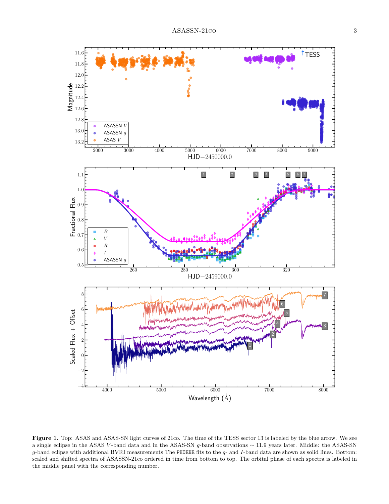

<span id="page-2-0"></span>Figure 1. Top: ASAS and ASAS-SN light curves of 21co. The time of the TESS sector 13 is labeled by the blue arrow. We see a single eclipse in the ASAS V -band data and in the ASAS-SN g-band observations ∼ 11.9 years later. Middle: the ASAS-SN  $g$ -band eclipse with additional BVRI measurements The PHOEBE fits to the  $g$ - and  $I$ -band data are shown as solid lines. Bottom: scaled and shifted spectra of ASASSN-21co ordered in time from bottom to top. The orbital phase of each spectra is labeled in the middle panel with the corresponding number.